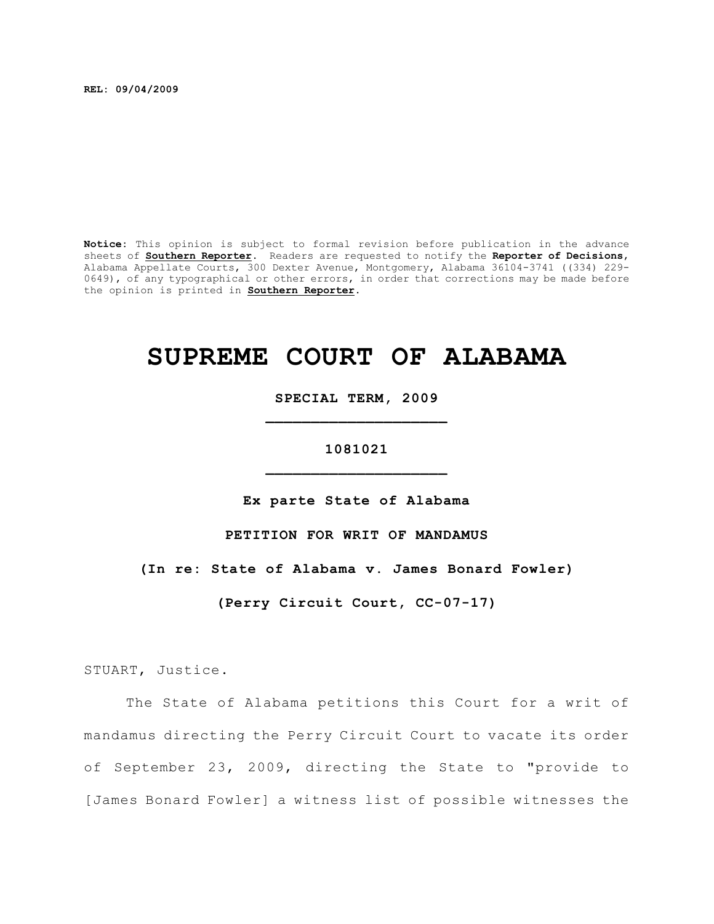**REL: 09/04/2009**

**Notice:** This opinion is subject to formal revision before publication in the advance sheets of **Southern Reporter**. Readers are requested to notify the **Reporter of Decisions**, Alabama Appellate Courts, 300 Dexter Avenue, Montgomery, Alabama 36104-3741 ((334) 229- 0649), of any typographical or other errors, in order that corrections may be made before the opinion is printed in **Southern Reporter**.

# **SUPREME COURT OF ALABAMA**

**SPECIAL TERM, 2009 \_\_\_\_\_\_\_\_\_\_\_\_\_\_\_\_\_\_\_\_**

**1081021 \_\_\_\_\_\_\_\_\_\_\_\_\_\_\_\_\_\_\_\_**

**Ex parte State of Alabama**

**PETITION FOR WRIT OF MANDAMUS**

**(In re: State of Alabama v. James Bonard Fowler)**

**(Perry Circuit Court, CC-07-17)**

STUART, Justice.

The State of Alabama petitions this Court for a writ of mandamus directing the Perry Circuit Court to vacate its order of September 23, 2009, directing the State to "provide to [James Bonard Fowler] a witness list of possible witnesses the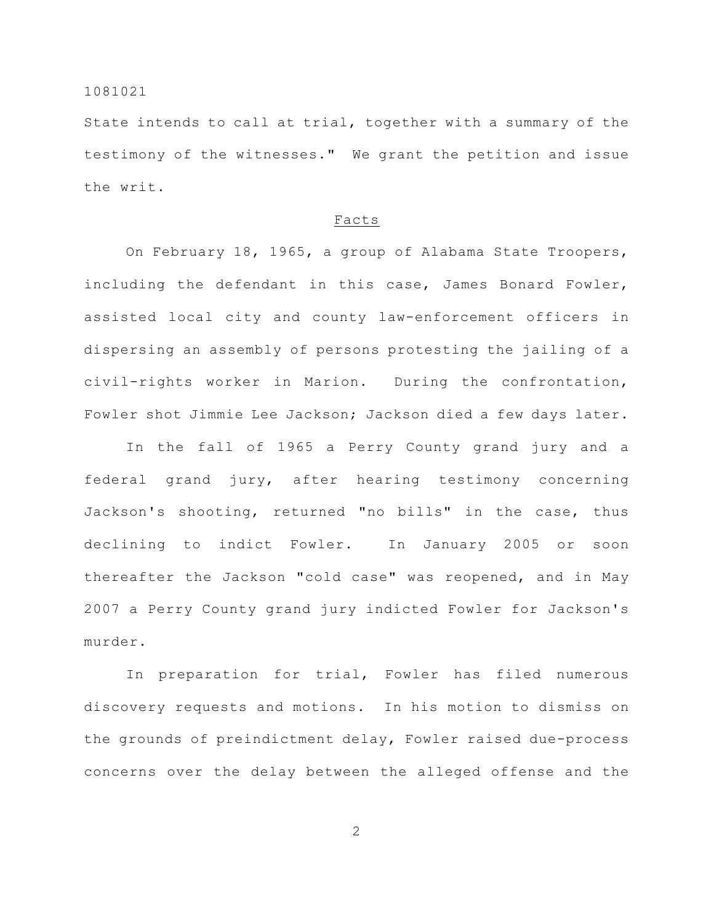State intends to call at trial, together with a summary of the testimony of the witnesses." We grant the petition and issue the writ.

# Facts

On February 18, 1965, a group of Alabama State Troopers, including the defendant in this case, James Bonard Fowler, assisted local city and county law-enforcement officers in dispersing an assembly of persons protesting the jailing of a civil-rights worker in Marion. During the confrontation, Fowler shot Jimmie Lee Jackson; Jackson died a few days later.

In the fall of 1965 a Perry County grand jury and a federal grand jury, after hearing testimony concerning Jackson's shooting, returned "no bills" in the case, thus declining to indict Fowler. In January 2005 or soon thereafter the Jackson "cold case" was reopened, and in May 2007 a Perry County grand jury indicted Fowler for Jackson's murder.

In preparation for trial, Fowler has filed numerous discovery requests and motions. In his motion to dismiss on the grounds of preindictment delay, Fowler raised due-process concerns over the delay between the alleged offense and the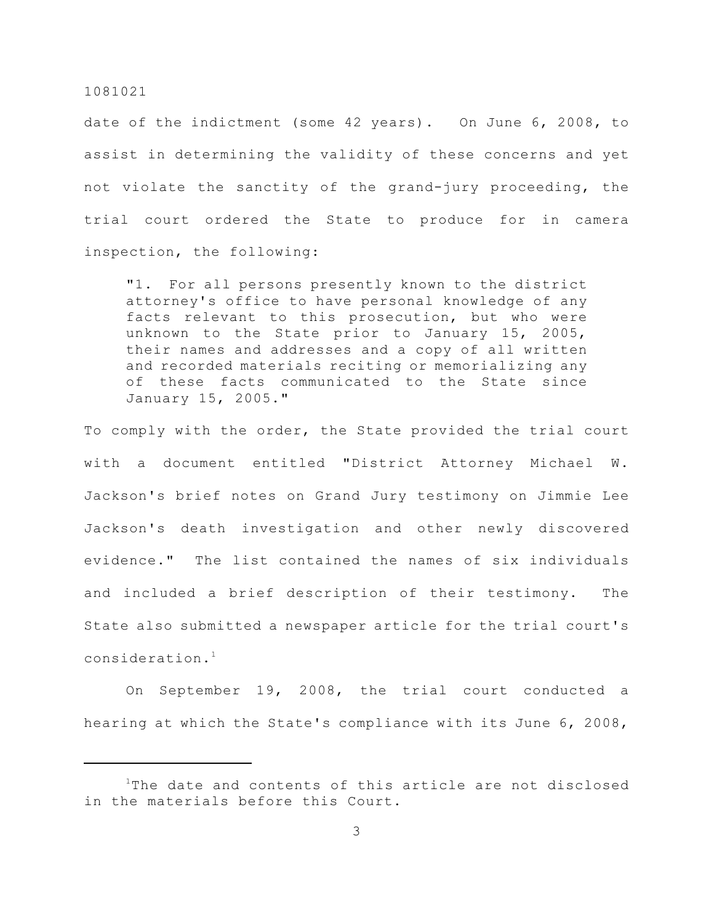date of the indictment (some 42 years). On June 6, 2008, to assist in determining the validity of these concerns and yet not violate the sanctity of the grand-jury proceeding, the trial court ordered the State to produce for in camera inspection, the following:

"1. For all persons presently known to the district attorney's office to have personal knowledge of any facts relevant to this prosecution, but who were unknown to the State prior to January 15, 2005, their names and addresses and a copy of all written and recorded materials reciting or memorializing any of these facts communicated to the State since January 15, 2005."

To comply with the order, the State provided the trial court with a document entitled "District Attorney Michael W. Jackson's brief notes on Grand Jury testimony on Jimmie Lee Jackson's death investigation and other newly discovered evidence." The list contained the names of six individuals and included a brief description of their testimony. The State also submitted a newspaper article for the trial court's consideration. 1

On September 19, 2008, the trial court conducted a hearing at which the State's compliance with its June 6, 2008,

 $1$ The date and contents of this article are not disclosed in the materials before this Court.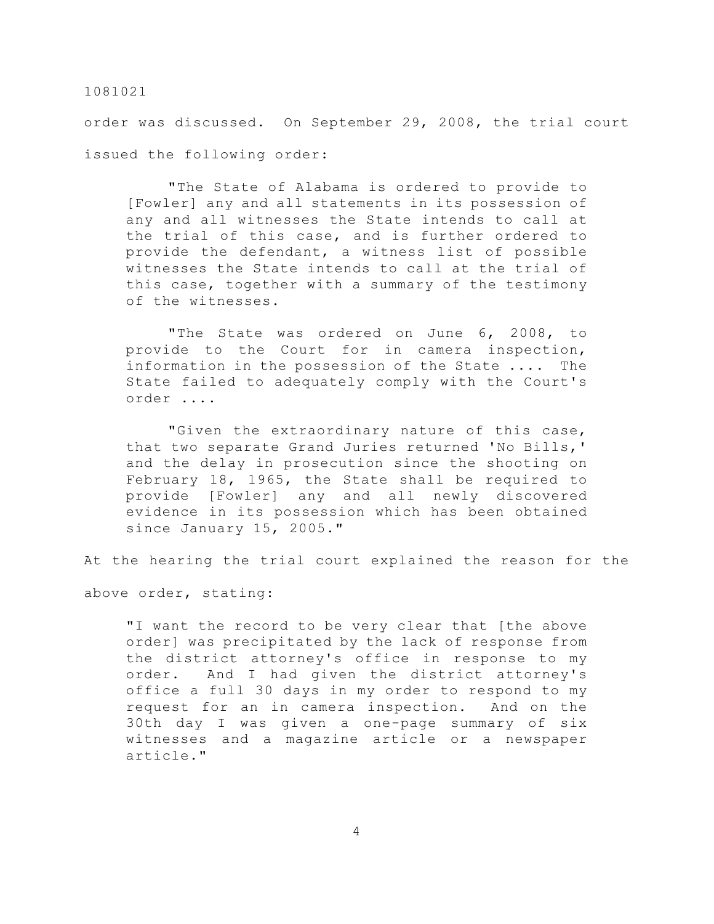order was discussed. On September 29, 2008, the trial court issued the following order:

"The State of Alabama is ordered to provide to [Fowler] any and all statements in its possession of any and all witnesses the State intends to call at the trial of this case, and is further ordered to provide the defendant, a witness list of possible witnesses the State intends to call at the trial of this case, together with a summary of the testimony of the witnesses.

"The State was ordered on June 6, 2008, to provide to the Court for in camera inspection, information in the possession of the State .... The State failed to adequately comply with the Court's order ....

"Given the extraordinary nature of this case, that two separate Grand Juries returned 'No Bills,' and the delay in prosecution since the shooting on February 18, 1965, the State shall be required to provide [Fowler] any and all newly discovered evidence in its possession which has been obtained since January 15, 2005."

At the hearing the trial court explained the reason for the

above order, stating:

"I want the record to be very clear that [the above order] was precipitated by the lack of response from the district attorney's office in response to my order. And I had given the district attorney's office a full 30 days in my order to respond to my request for an in camera inspection. And on the 30th day I was given a one-page summary of six witnesses and a magazine article or a newspaper article."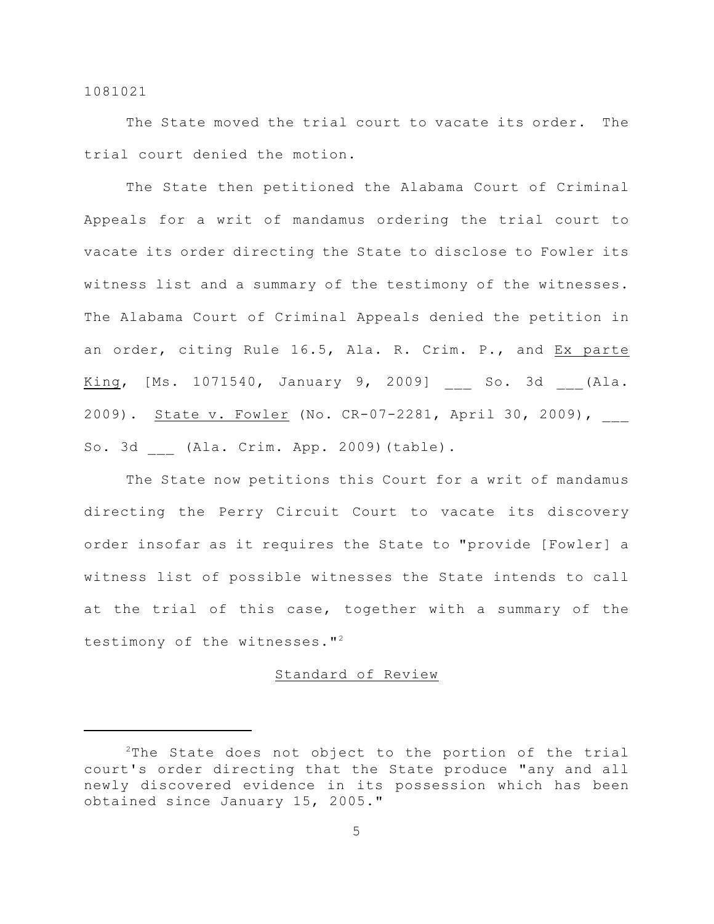The State moved the trial court to vacate its order. The trial court denied the motion.

The State then petitioned the Alabama Court of Criminal Appeals for a writ of mandamus ordering the trial court to vacate its order directing the State to disclose to Fowler its witness list and a summary of the testimony of the witnesses. The Alabama Court of Criminal Appeals denied the petition in an order, citing Rule 16.5, Ala. R. Crim. P., and Ex parte King, [Ms. 1071540, January 9, 2009] So. 3d (Ala. 2009). State v. Fowler (No. CR-07-2281, April 30, 2009), So. 3d (Ala. Crim. App. 2009)(table).

The State now petitions this Court for a writ of mandamus directing the Perry Circuit Court to vacate its discovery order insofar as it requires the State to "provide [Fowler] a witness list of possible witnesses the State intends to call at the trial of this case, together with a summary of the testimony of the witnesses."<sup>2</sup>

# Standard of Review

 $2$ The State does not object to the portion of the trial court's order directing that the State produce "any and all newly discovered evidence in its possession which has been obtained since January 15, 2005."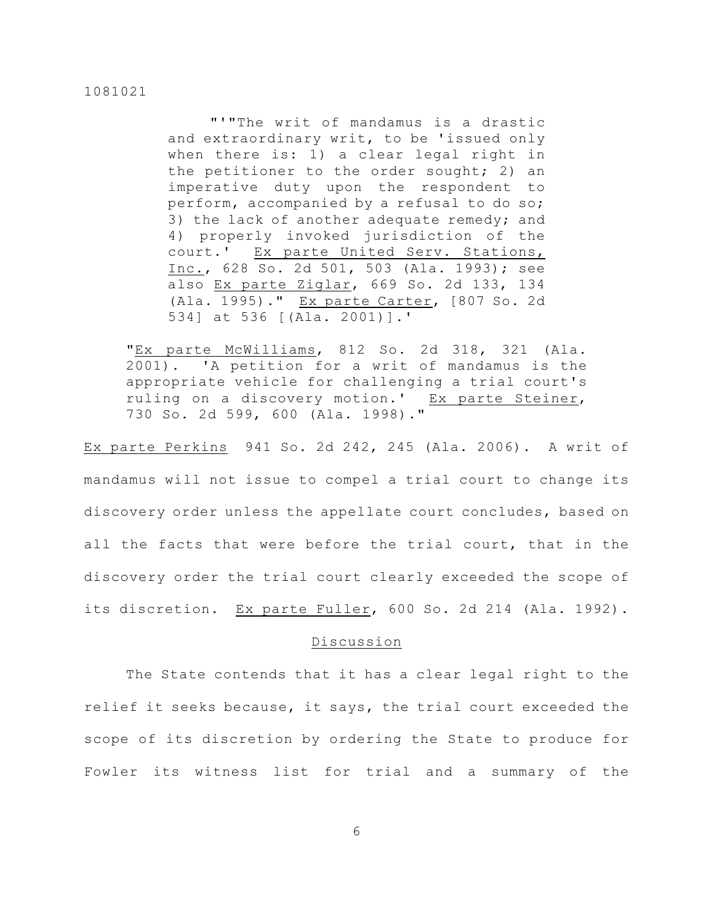"'"The writ of mandamus is a drastic and extraordinary writ, to be 'issued only when there is: 1) a clear legal right in the petitioner to the order sought; 2) an imperative duty upon the respondent to perform, accompanied by a refusal to do so; 3) the lack of another adequate remedy; and 4) properly invoked jurisdiction of the court.' Ex parte United Serv. Stations, Inc., 628 So. 2d 501, 503 (Ala. 1993); see also Ex parte Ziglar, 669 So. 2d 133, 134 (Ala. 1995)." Ex parte Carter, [807 So. 2d 534] at 536 [(Ala. 2001)].'

"Ex parte McWilliams, 812 So. 2d 318, 321 (Ala. 2001). 'A petition for a writ of mandamus is the appropriate vehicle for challenging a trial court's ruling on a discovery motion.' Ex parte Steiner, 730 So. 2d 599, 600 (Ala. 1998)."

Ex parte Perkins 941 So. 2d 242, 245 (Ala. 2006). A writ of mandamus will not issue to compel a trial court to change its discovery order unless the appellate court concludes, based on all the facts that were before the trial court, that in the discovery order the trial court clearly exceeded the scope of its discretion. Ex parte Fuller, 600 So. 2d 214 (Ala. 1992).

# Discussion

The State contends that it has a clear legal right to the relief it seeks because, it says, the trial court exceeded the scope of its discretion by ordering the State to produce for Fowler its witness list for trial and a summary of the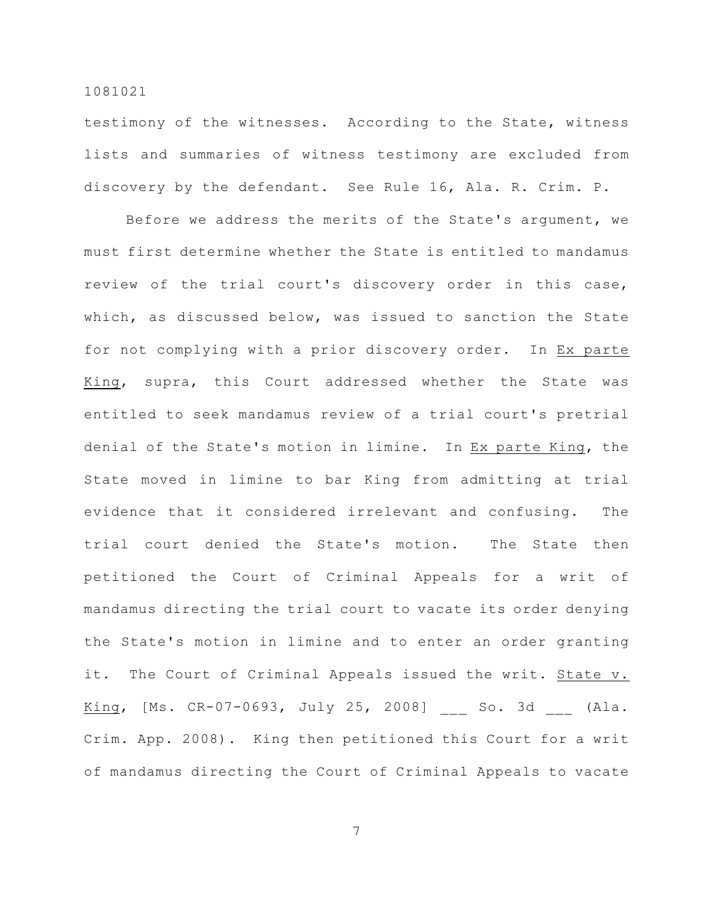testimony of the witnesses. According to the State, witness lists and summaries of witness testimony are excluded from discovery by the defendant. See Rule 16, Ala. R. Crim. P.

Before we address the merits of the State's argument, we must first determine whether the State is entitled to mandamus review of the trial court's discovery order in this case, which, as discussed below, was issued to sanction the State for not complying with a prior discovery order. In Ex parte King, supra, this Court addressed whether the State was entitled to seek mandamus review of a trial court's pretrial denial of the State's motion in limine. In Ex parte King, the State moved in limine to bar King from admitting at trial evidence that it considered irrelevant and confusing. The trial court denied the State's motion. The State then petitioned the Court of Criminal Appeals for a writ of mandamus directing the trial court to vacate its order denying the State's motion in limine and to enter an order granting it. The Court of Criminal Appeals issued the writ. State v. King, [Ms. CR-07-0693, July 25, 2008] So. 3d (Ala. Crim. App. 2008). King then petitioned this Court for a writ of mandamus directing the Court of Criminal Appeals to vacate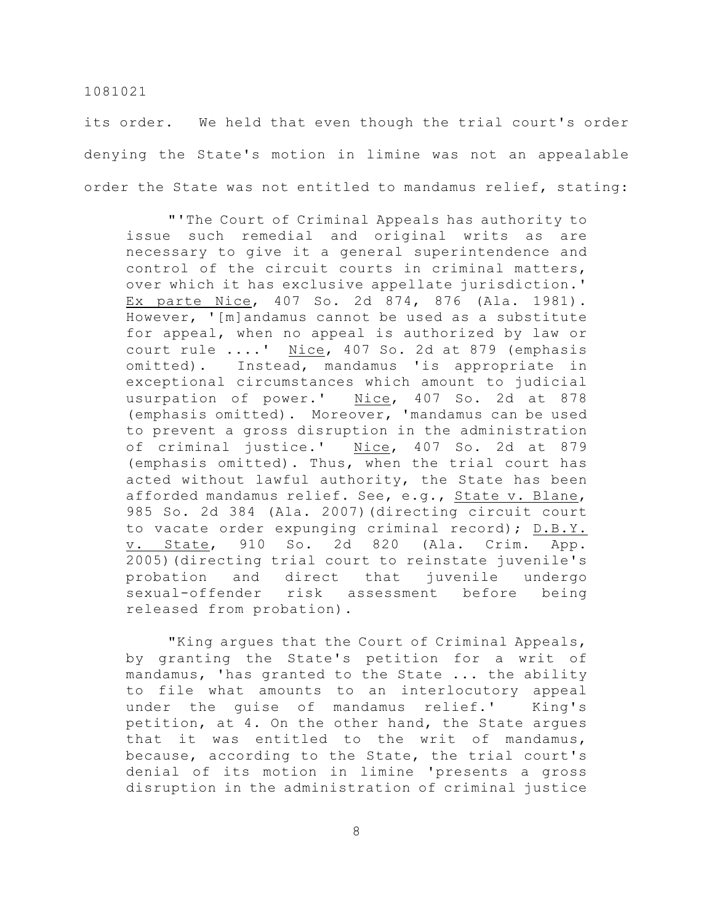its order. We held that even though the trial court's order denying the State's motion in limine was not an appealable order the State was not entitled to mandamus relief, stating:

"'The Court of Criminal Appeals has authority to issue such remedial and original writs as are necessary to give it a general superintendence and control of the circuit courts in criminal matters, over which it has exclusive appellate jurisdiction.' Ex parte Nice, 407 So. 2d 874, 876 (Ala. 1981). However, '[m]andamus cannot be used as a substitute for appeal, when no appeal is authorized by law or court rule ....' Nice, 407 So. 2d at 879 (emphasis omitted). Instead, mandamus 'is appropriate in exceptional circumstances which amount to judicial usurpation of power.' Nice, 407 So. 2d at 878 (emphasis omitted). Moreover, 'mandamus can be used to prevent a gross disruption in the administration of criminal justice.' Nice, 407 So. 2d at 879 (emphasis omitted). Thus, when the trial court has acted without lawful authority, the State has been afforded mandamus relief. See, e.g., State v. Blane, 985 So. 2d 384 (Ala. 2007)(directing circuit court to vacate order expunging criminal record); D.B.Y. v. State, 910 So. 2d 820 (Ala. Crim. App. 2005)(directing trial court to reinstate juvenile's probation and direct that juvenile undergo sexual-offender risk assessment before being released from probation).

"King argues that the Court of Criminal Appeals, by granting the State's petition for a writ of mandamus, 'has granted to the State ... the ability to file what amounts to an interlocutory appeal under the guise of mandamus relief.' King's petition, at 4. On the other hand, the State argues that it was entitled to the writ of mandamus, because, according to the State, the trial court's denial of its motion in limine 'presents a gross disruption in the administration of criminal justice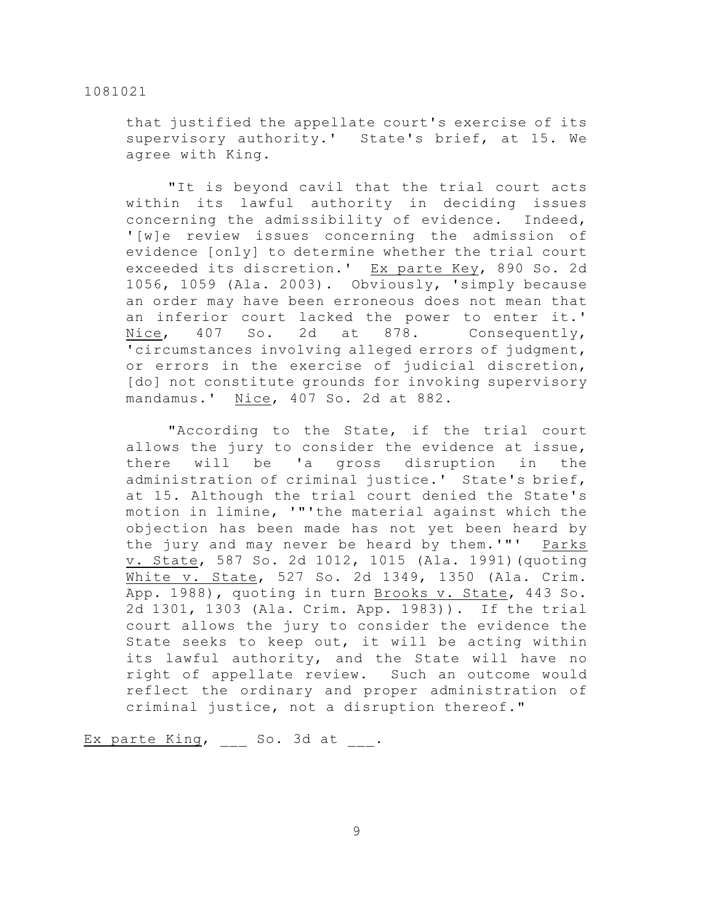that justified the appellate court's exercise of its supervisory authority.' State's brief, at 15. We agree with King.

"It is beyond cavil that the trial court acts within its lawful authority in deciding issues concerning the admissibility of evidence. Indeed, '[w]e review issues concerning the admission of evidence [only] to determine whether the trial court exceeded its discretion.' Ex parte Key, 890 So. 2d 1056, 1059 (Ala. 2003). Obviously, 'simply because an order may have been erroneous does not mean that an inferior court lacked the power to enter it.' Nice, 407 So. 2d at 878. Consequently, 'circumstances involving alleged errors of judgment, or errors in the exercise of judicial discretion, [do] not constitute grounds for invoking supervisory mandamus.' Nice, 407 So. 2d at 882.

"According to the State, if the trial court allows the jury to consider the evidence at issue, there will be 'a gross disruption in the administration of criminal justice.' State's brief, at 15. Although the trial court denied the State's motion in limine, '"'the material against which the objection has been made has not yet been heard by the jury and may never be heard by them.'"' Parks v. State, 587 So. 2d 1012, 1015 (Ala. 1991)(quoting White v. State, 527 So. 2d 1349, 1350 (Ala. Crim. App. 1988), quoting in turn Brooks v. State, 443 So. 2d 1301, 1303 (Ala. Crim. App. 1983)). If the trial court allows the jury to consider the evidence the State seeks to keep out, it will be acting within its lawful authority, and the State will have no right of appellate review. Such an outcome would reflect the ordinary and proper administration of criminal justice, not a disruption thereof."

Ex parte King, So. 3d at .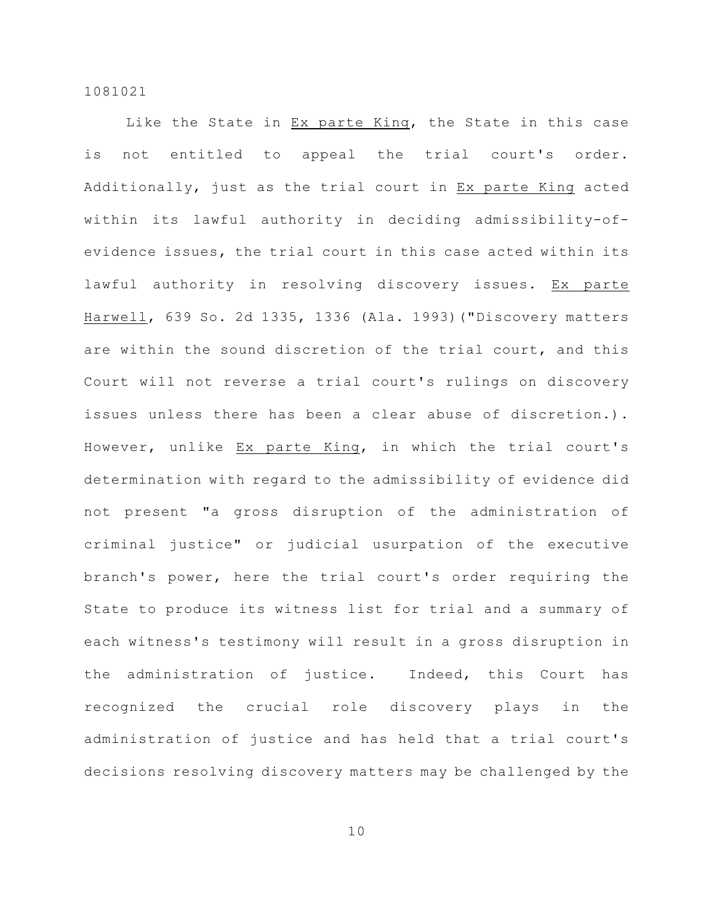Like the State in Ex parte King, the State in this case is not entitled to appeal the trial court's order. Additionally, just as the trial court in Ex parte King acted within its lawful authority in deciding admissibility-ofevidence issues, the trial court in this case acted within its lawful authority in resolving discovery issues. Ex parte Harwell, 639 So. 2d 1335, 1336 (Ala. 1993)("Discovery matters are within the sound discretion of the trial court, and this Court will not reverse a trial court's rulings on discovery issues unless there has been a clear abuse of discretion.). However, unlike Ex parte King, in which the trial court's determination with regard to the admissibility of evidence did not present "a gross disruption of the administration of criminal justice" or judicial usurpation of the executive branch's power, here the trial court's order requiring the State to produce its witness list for trial and a summary of each witness's testimony will result in a gross disruption in the administration of justice. Indeed, this Court has recognized the crucial role discovery plays in the administration of justice and has held that a trial court's decisions resolving discovery matters may be challenged by the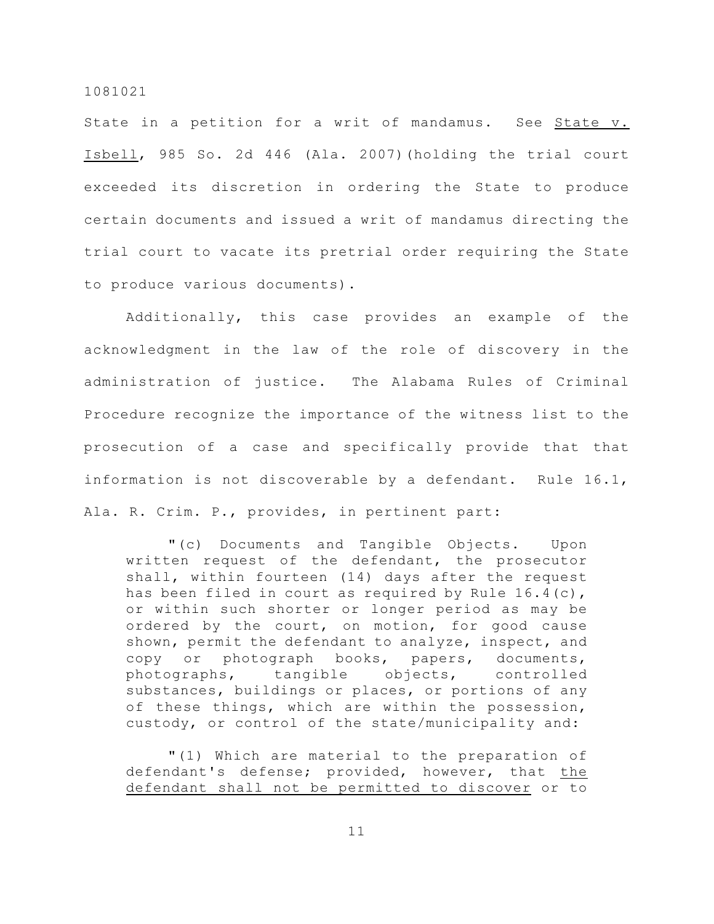State in a petition for a writ of mandamus. See State v. Isbell, 985 So. 2d 446 (Ala. 2007)(holding the trial court exceeded its discretion in ordering the State to produce certain documents and issued a writ of mandamus directing the trial court to vacate its pretrial order requiring the State to produce various documents).

Additionally, this case provides an example of the acknowledgment in the law of the role of discovery in the administration of justice. The Alabama Rules of Criminal Procedure recognize the importance of the witness list to the prosecution of a case and specifically provide that that information is not discoverable by a defendant. Rule 16.1, Ala. R. Crim. P., provides, in pertinent part:

"(c) Documents and Tangible Objects. Upon written request of the defendant, the prosecutor shall, within fourteen (14) days after the request has been filed in court as required by Rule  $16.4(c)$ , or within such shorter or longer period as may be ordered by the court, on motion, for good cause shown, permit the defendant to analyze, inspect, and copy or photograph books, papers, documents, photographs, tangible objects, controlled substances, buildings or places, or portions of any of these things, which are within the possession, custody, or control of the state/municipality and:

"(1) Which are material to the preparation of defendant's defense; provided, however, that the defendant shall not be permitted to discover or to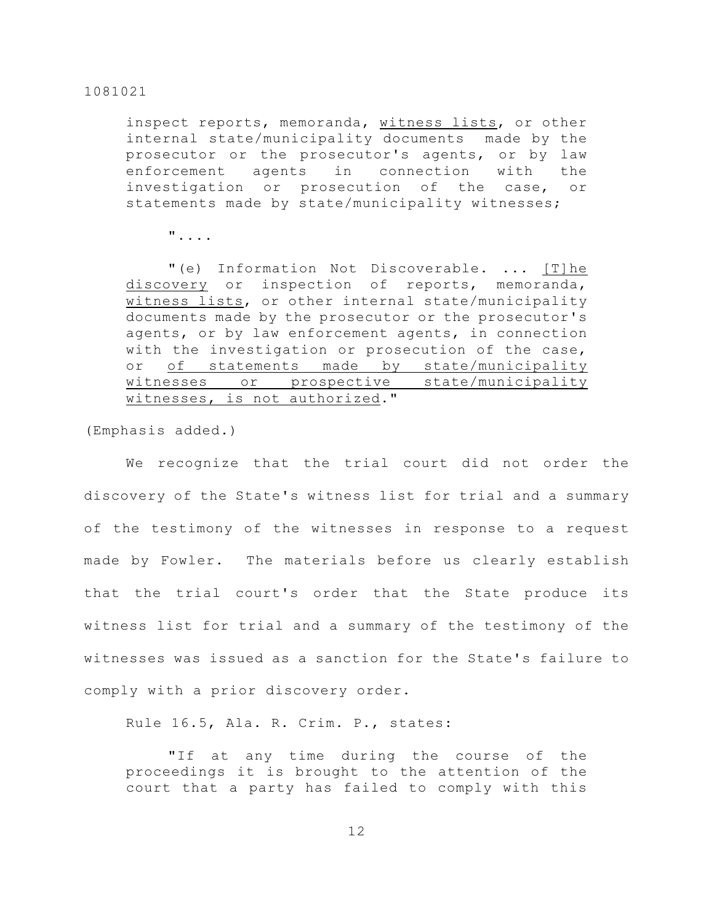inspect reports, memoranda, witness lists, or other internal state/municipality documents made by the prosecutor or the prosecutor's agents, or by law enforcement agents in connection with the investigation or prosecution of the case, or statements made by state/municipality witnesses;

"....

"(e) Information Not Discoverable. ... [T]he discovery or inspection of reports, memoranda, witness lists, or other internal state/municipality documents made by the prosecutor or the prosecutor's agents, or by law enforcement agents, in connection with the investigation or prosecution of the case, or of statements made by state/municipality witnesses or prospective state/municipality witnesses, is not authorized."

(Emphasis added.)

We recognize that the trial court did not order the discovery of the State's witness list for trial and a summary of the testimony of the witnesses in response to a request made by Fowler. The materials before us clearly establish that the trial court's order that the State produce its witness list for trial and a summary of the testimony of the witnesses was issued as a sanction for the State's failure to comply with a prior discovery order.

Rule 16.5, Ala. R. Crim. P., states:

"If at any time during the course of the proceedings it is brought to the attention of the court that a party has failed to comply with this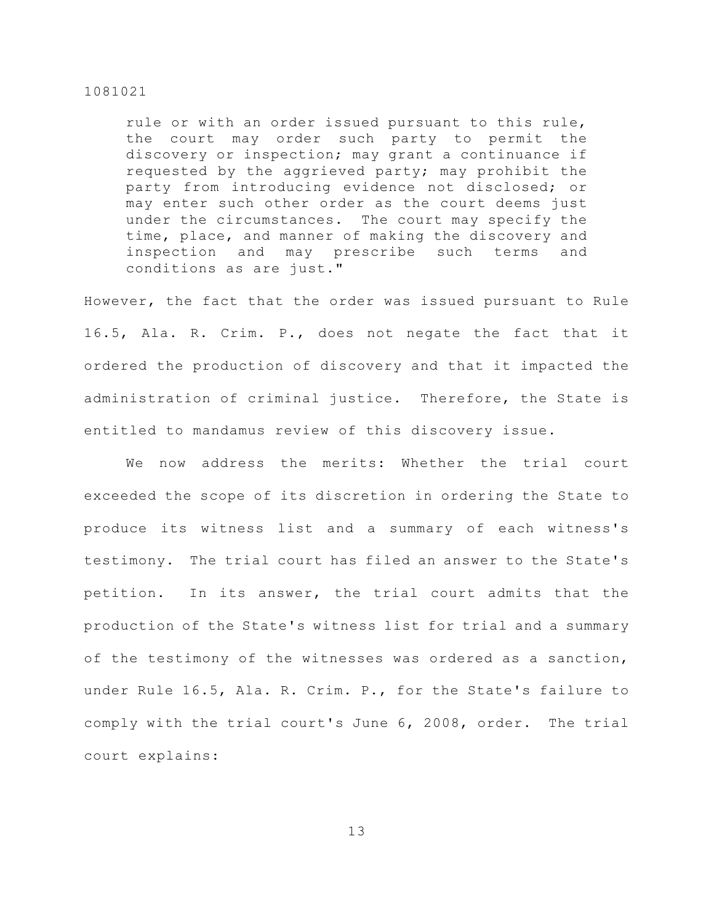rule or with an order issued pursuant to this rule, the court may order such party to permit the discovery or inspection; may grant a continuance if requested by the aggrieved party; may prohibit the party from introducing evidence not disclosed; or may enter such other order as the court deems just under the circumstances. The court may specify the time, place, and manner of making the discovery and inspection and may prescribe such terms and conditions as are just."

However, the fact that the order was issued pursuant to Rule 16.5, Ala. R. Crim. P., does not negate the fact that it ordered the production of discovery and that it impacted the administration of criminal justice. Therefore, the State is entitled to mandamus review of this discovery issue.

We now address the merits: Whether the trial court exceeded the scope of its discretion in ordering the State to produce its witness list and a summary of each witness's testimony. The trial court has filed an answer to the State's petition. In its answer, the trial court admits that the production of the State's witness list for trial and a summary of the testimony of the witnesses was ordered as a sanction, under Rule 16.5, Ala. R. Crim. P., for the State's failure to comply with the trial court's June 6, 2008, order. The trial court explains: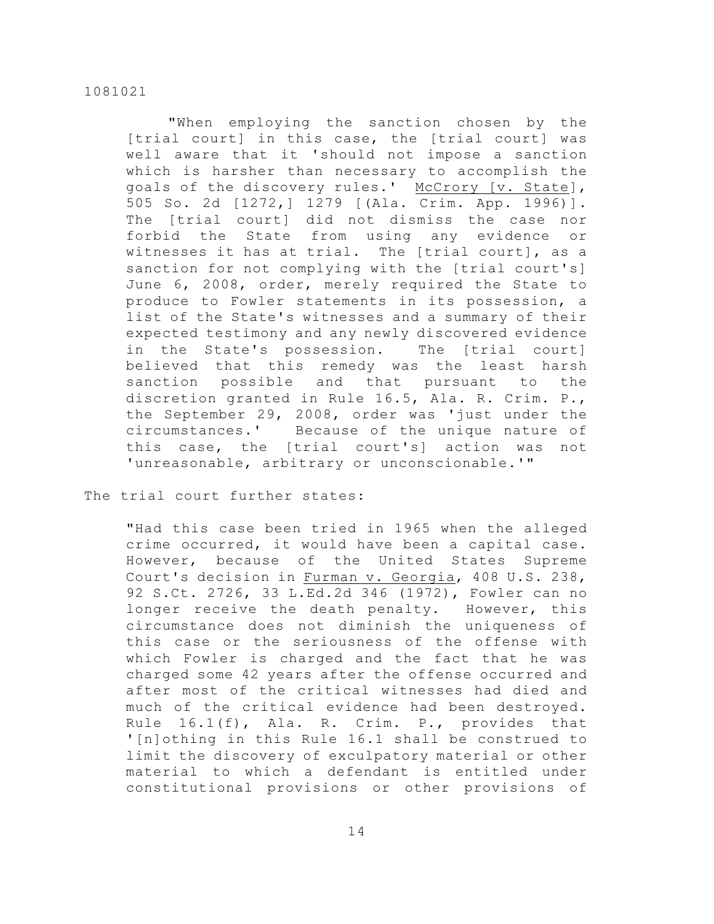"When employing the sanction chosen by the [trial court] in this case, the [trial court] was well aware that it 'should not impose a sanction which is harsher than necessary to accomplish the goals of the discovery rules.' McCrory [v. State], 505 So. 2d [1272,] 1279 [(Ala. Crim. App. 1996)]. The [trial court] did not dismiss the case nor forbid the State from using any evidence or witnesses it has at trial. The [trial court], as a sanction for not complying with the [trial court's] June 6, 2008, order, merely required the State to produce to Fowler statements in its possession, a list of the State's witnesses and a summary of their expected testimony and any newly discovered evidence in the State's possession. The [trial court] believed that this remedy was the least harsh sanction possible and that pursuant to the discretion granted in Rule 16.5, Ala. R. Crim. P., the September 29, 2008, order was 'just under the circumstances.' Because of the unique nature of this case, the [trial court's] action was not 'unreasonable, arbitrary or unconscionable.'"

The trial court further states:

"Had this case been tried in 1965 when the alleged crime occurred, it would have been a capital case. However, because of the United States Supreme Court's decision in Furman v. Georgia, 408 U.S. 238, 92 S.Ct. 2726, 33 L.Ed.2d 346 (1972), Fowler can no longer receive the death penalty. However, this circumstance does not diminish the uniqueness of this case or the seriousness of the offense with which Fowler is charged and the fact that he was charged some 42 years after the offense occurred and after most of the critical witnesses had died and much of the critical evidence had been destroyed. Rule 16.1(f), Ala. R. Crim. P., provides that '[n]othing in this Rule 16.1 shall be construed to limit the discovery of exculpatory material or other material to which a defendant is entitled under constitutional provisions or other provisions of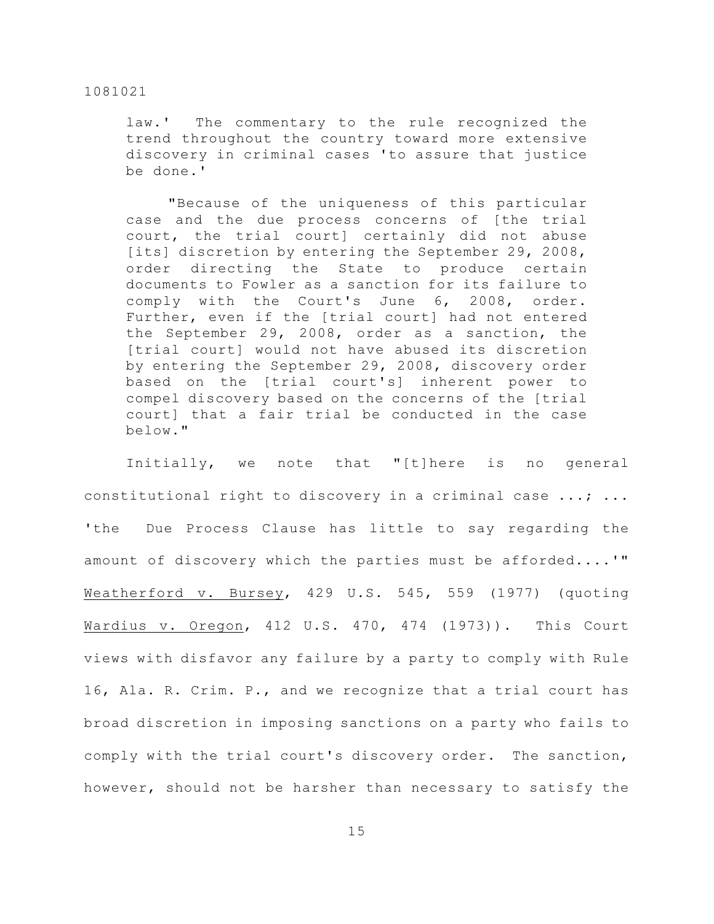law.' The commentary to the rule recognized the trend throughout the country toward more extensive discovery in criminal cases 'to assure that justice be done.'

"Because of the uniqueness of this particular case and the due process concerns of [the trial court, the trial court] certainly did not abuse [its] discretion by entering the September 29, 2008, order directing the State to produce certain documents to Fowler as a sanction for its failure to comply with the Court's June 6, 2008, order. Further, even if the [trial court] had not entered the September 29, 2008, order as a sanction, the [trial court] would not have abused its discretion by entering the September 29, 2008, discovery order based on the [trial court's] inherent power to compel discovery based on the concerns of the [trial court] that a fair trial be conducted in the case below."

Initially, we note that "[t]here is no general constitutional right to discovery in a criminal case ...; ... 'the Due Process Clause has little to say regarding the amount of discovery which the parties must be afforded....'" Weatherford v. Bursey, 429 U.S. 545, 559 (1977) (quoting Wardius v. Oregon, 412 U.S. 470, 474 (1973)). This Court views with disfavor any failure by a party to comply with Rule 16, Ala. R. Crim. P., and we recognize that a trial court has broad discretion in imposing sanctions on a party who fails to comply with the trial court's discovery order. The sanction, however, should not be harsher than necessary to satisfy the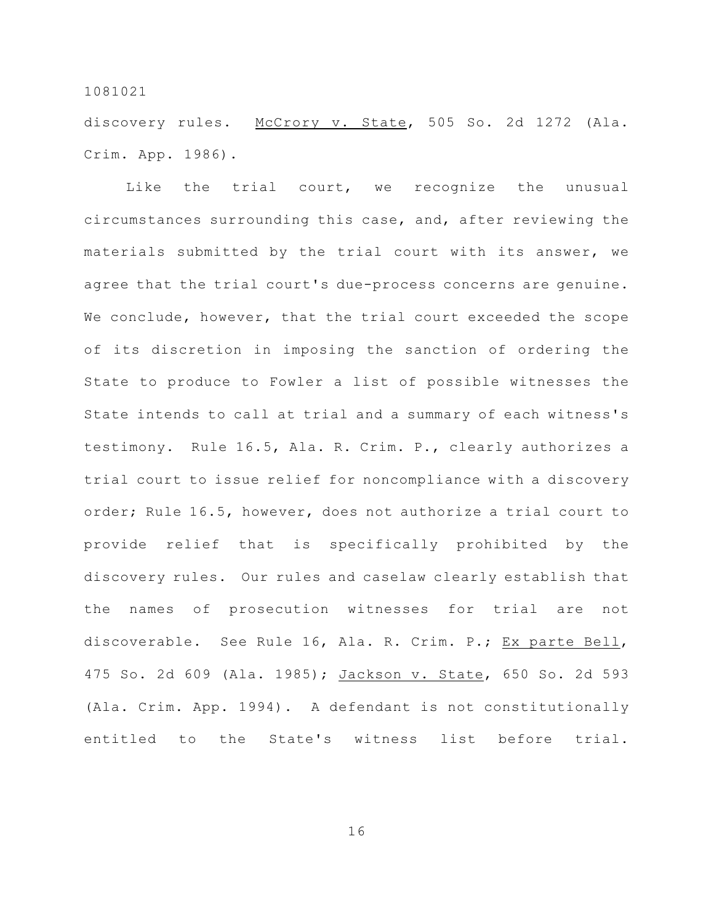discovery rules. McCrory v. State, 505 So. 2d 1272 (Ala. Crim. App. 1986).

Like the trial court, we recognize the unusual circumstances surrounding this case, and, after reviewing the materials submitted by the trial court with its answer, we agree that the trial court's due-process concerns are genuine. We conclude, however, that the trial court exceeded the scope of its discretion in imposing the sanction of ordering the State to produce to Fowler a list of possible witnesses the State intends to call at trial and a summary of each witness's testimony. Rule 16.5, Ala. R. Crim. P., clearly authorizes a trial court to issue relief for noncompliance with a discovery order; Rule 16.5, however, does not authorize a trial court to provide relief that is specifically prohibited by the discovery rules. Our rules and caselaw clearly establish that the names of prosecution witnesses for trial are not discoverable. See Rule 16, Ala. R. Crim. P.; Ex parte Bell, 475 So. 2d 609 (Ala. 1985); Jackson v. State, 650 So. 2d 593 (Ala. Crim. App. 1994). A defendant is not constitutionally entitled to the State's witness list before trial.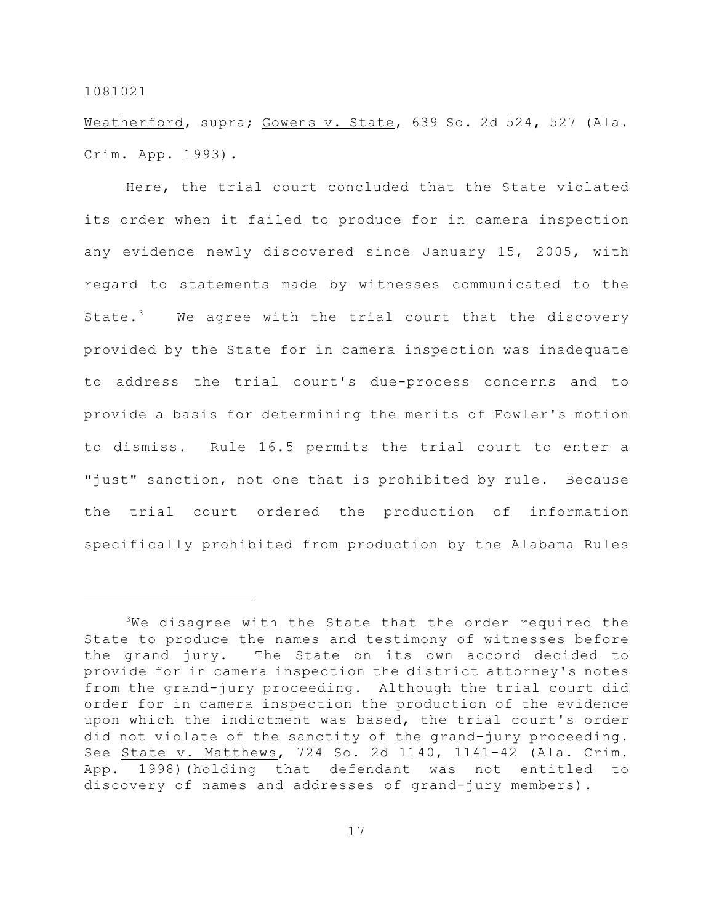Weatherford, supra; Gowens v. State, 639 So. 2d 524, 527 (Ala. Crim. App. 1993).

Here, the trial court concluded that the State violated its order when it failed to produce for in camera inspection any evidence newly discovered since January 15, 2005, with regard to statements made by witnesses communicated to the State.<sup>3</sup> We agree with the trial court that the discovery provided by the State for in camera inspection was inadequate to address the trial court's due-process concerns and to provide a basis for determining the merits of Fowler's motion to dismiss. Rule 16.5 permits the trial court to enter a "just" sanction, not one that is prohibited by rule. Because the trial court ordered the production of information specifically prohibited from production by the Alabama Rules

 $3$ We disagree with the State that the order required the State to produce the names and testimony of witnesses before the grand jury. The State on its own accord decided to provide for in camera inspection the district attorney's notes from the grand-jury proceeding. Although the trial court did order for in camera inspection the production of the evidence upon which the indictment was based, the trial court's order did not violate of the sanctity of the grand-jury proceeding. See State v. Matthews, 724 So. 2d 1140, 1141-42 (Ala. Crim. App. 1998)(holding that defendant was not entitled to discovery of names and addresses of grand-jury members).